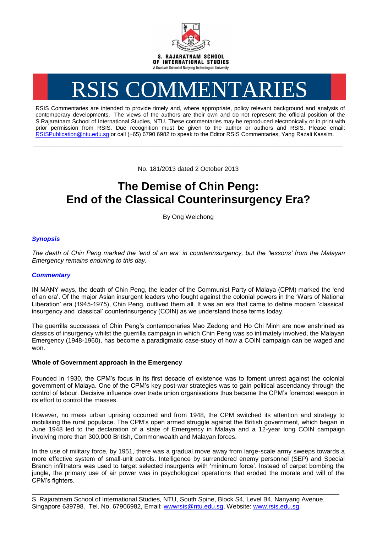

# RSIS COMMENTARIES

RSIS Commentaries are intended to provide timely and, where appropriate, policy relevant background and analysis of contemporary developments. The views of the authors are their own and do not represent the official position of the S.Rajaratnam School of International Studies, NTU. These commentaries may be reproduced electronically or in print with prior permission from RSIS. Due recognition must be given to the author or authors and RSIS. Please email: [RSISPublication@ntu.edu.sg](mailto:RSISPublication@ntu.edu.sg) or call (+65) 6790 6982 to speak to the Editor RSIS Commentaries, Yang Razali Kassim.

No. 181/2013 dated 2 October 2013

**\_\_\_\_\_\_\_\_\_\_\_\_\_\_\_\_\_\_\_\_\_\_\_\_\_\_\_\_\_\_\_\_\_\_\_\_\_\_\_\_\_\_\_\_\_\_\_\_\_\_\_\_\_\_\_\_\_\_\_\_\_\_\_\_\_\_\_\_\_\_\_\_\_\_\_\_\_\_\_\_\_\_\_\_\_\_\_\_\_\_\_\_\_\_\_\_\_\_**

# **The Demise of Chin Peng: End of the Classical Counterinsurgency Era?**

By Ong Weichong

# *Synopsis*

*The death of Chin Peng marked the 'end of an era' in counterinsurgency, but the 'lessons' from the Malayan Emergency remains enduring to this day.*

## *Commentary*

IN MANY ways, the death of Chin Peng, the leader of the Communist Party of Malaya (CPM) marked the 'end of an era'. Of the major Asian insurgent leaders who fought against the colonial powers in the 'Wars of National Liberation' era (1945-1975), Chin Peng, outlived them all. It was an era that came to define modern 'classical' insurgency and 'classical' counterinsurgency (COIN) as we understand those terms today.

The guerrilla successes of Chin Peng's contemporaries Mao Zedong and Ho Chi Minh are now enshrined as classics of insurgency whilst the guerrilla campaign in which Chin Peng was so intimately involved, the Malayan Emergency (1948-1960), has become a paradigmatic case-study of how a COIN campaign can be waged and won.

### **Whole of Government approach in the Emergency**

Founded in 1930, the CPM's focus in its first decade of existence was to foment unrest against the colonial government of Malaya. One of the CPM's key post-war strategies was to gain political ascendancy through the control of labour. Decisive influence over trade union organisations thus became the CPM's foremost weapon in its effort to control the masses.

However, no mass urban uprising occurred and from 1948, the CPM switched its attention and strategy to mobilising the rural populace. The CPM's open armed struggle against the British government, which began in June 1948 led to the declaration of a state of Emergency in Malaya and a 12-year long COIN campaign involving more than 300,000 British, Commonwealth and Malayan forces.

In the use of military force, by 1951, there was a gradual move away from large-scale army sweeps towards a more effective system of small-unit patrols. Intelligence by surrendered enemy personnel (SEP) and Special Branch infiltrators was used to target selected insurgents with 'minimum force'. Instead of carpet bombing the jungle, the primary use of air power was in psychological operations that eroded the morale and will of the CPM's fighters.

S. Rajaratnam School of International Studies, NTU, South Spine, Block S4, Level B4, Nanyang Avenue, Singapore 639798. Tel. No. 67906982, Email: wwwrsis@ntu.edu.sg, Website: www.rsis.edu.sg.

\_\_\_\_\_\_\_\_\_\_\_\_\_\_\_\_\_\_\_\_\_\_\_\_\_\_\_\_\_\_\_\_\_\_\_\_\_\_\_\_\_\_\_\_\_\_\_\_\_\_\_\_\_\_\_\_\_\_\_\_\_\_\_\_\_\_\_\_\_\_\_\_\_\_\_\_\_\_\_\_\_